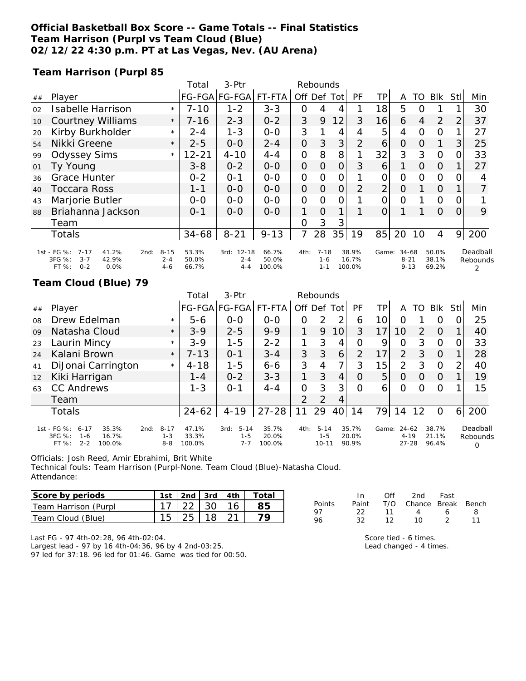### **Official Basketball Box Score -- Game Totals -- Final Statistics Team Harrison (Purpl vs Team Cloud (Blue) 02/12/22 4:30 p.m. PT at Las Vegas, Nev. (AU Arena)**

**Team Harrison (Purpl 85**

|    |                                                                                                    |                                | Total                   | 3-Ptr                               | Rebounds                 |                |                                |          |                          |                 |                               |          |                         |                |                           |
|----|----------------------------------------------------------------------------------------------------|--------------------------------|-------------------------|-------------------------------------|--------------------------|----------------|--------------------------------|----------|--------------------------|-----------------|-------------------------------|----------|-------------------------|----------------|---------------------------|
| ## | Player                                                                                             |                                |                         | FG-FGA FG-FGA                       | FT-FTA                   | Off Def        |                                | Tot      | PF                       | TР              | A                             | TO.      | Blk                     | Stll           | Min                       |
| 02 | <b>Isabelle Harrison</b>                                                                           | $\star$                        | $7 - 10$                | $1 - 2$                             | $3 - 3$                  | O              | 4                              | 4        |                          | 18 <sub>1</sub> | 5                             | ∩        |                         |                | 30                        |
| 10 | <b>Courtney Williams</b>                                                                           | $\star$                        | $7 - 16$                | $2 - 3$                             | $0 - 2$                  | 3              | 9                              | 12       | 3                        | 16              | 6                             | 4        | 2                       | $\overline{2}$ | 37                        |
| 20 | Kirby Burkholder                                                                                   | $\star$                        | $2 - 4$                 | $1 - 3$                             | $0 - 0$                  | 3              |                                | 4        | 4                        | 5               | 4                             | $\Omega$ | $\Omega$                |                | 27                        |
| 54 | Nikki Greene                                                                                       | $\star$                        | $2 - 5$                 | $O-O$                               | $2 - 4$                  | $\Omega$       | 3                              | 3        | $\mathcal{P}$            | 6               | $\Omega$                      | $\Omega$ |                         | 3              | 25                        |
| 99 | <b>Odyssey Sims</b>                                                                                | $\star$                        | $12 - 21$               | $4 - 10$                            | $4 - 4$                  | $\Omega$       | 8                              | 8        |                          | 32              | 3                             | 3        | $\Omega$                | $\Omega$       | 33                        |
| 01 | Ty Young                                                                                           |                                | $3 - 8$                 | $0 - 2$                             | $0 - 0$                  | $\overline{O}$ | $\Omega$                       | $\Omega$ | 3                        | 6               |                               | $\Omega$ | $\Omega$                |                | 27                        |
| 36 | <b>Grace Hunter</b>                                                                                |                                | $0 - 2$                 | $O - 1$                             | $0 - 0$                  | 0              | 0                              | 0        |                          | 0               | 0                             | $\Omega$ | $\Omega$                | Ω              | 4                         |
| 40 | Toccara Ross                                                                                       |                                | 1-1                     | $0 - 0$                             | $0 - 0$                  | $\Omega$       | $\Omega$                       | $\Omega$ | $\overline{2}$           | $\overline{2}$  | $\Omega$                      |          | $\Omega$                |                |                           |
| 43 | Marjorie Butler                                                                                    |                                | $O-O$                   | $0 - 0$                             | $0 - 0$                  | 0              | $\Omega$                       | Ο        |                          | O               | $\Omega$                      |          | $\Omega$                | ∩              |                           |
| 88 | Briahanna Jackson                                                                                  |                                | $0 - 1$                 | $0 - 0$                             | $0 - 0$                  | 1              | $\Omega$                       |          |                          | $\Omega$        |                               |          | $\Omega$                | $\Omega$       | 9                         |
|    | Team                                                                                               |                                |                         |                                     |                          | 0              | 3                              | 3        |                          |                 |                               |          |                         |                |                           |
|    | <b>Totals</b>                                                                                      |                                | $34 - 68$               | $8 - 21$                            | $9 - 13$                 |                | 28                             | 35       | 19                       | 85              | 20                            | 10       | 4                       | 9              | 200                       |
|    | 1st - FG %:<br>$7 - 17$<br>41.2%<br>2nd:<br>3FG %:<br>$3 - 7$<br>42.9%<br>FT %:<br>$0 - 2$<br>0.0% | $8 - 15$<br>$2 - 4$<br>$4 - 6$ | 53.3%<br>50.0%<br>66.7% | 12-18<br>3rd:<br>$2 - 4$<br>$4 - 4$ | 66.7%<br>50.0%<br>100.0% | 4th:           | $7 - 18$<br>$1 - 6$<br>$1 - 1$ |          | 38.9%<br>16.7%<br>100.0% | Game:           | 34-68<br>$8 - 21$<br>$9 - 13$ |          | 50.0%<br>38.1%<br>69.2% |                | Deadball<br>Rebounds<br>2 |

### **Team Cloud (Blue) 79**

|    |                                                                                              |                                        | Total                    | $3-Ptr$                                |                          | Rebounds      |                                  |     |                         |                 |                                    |                |                         |      |                                  |
|----|----------------------------------------------------------------------------------------------|----------------------------------------|--------------------------|----------------------------------------|--------------------------|---------------|----------------------------------|-----|-------------------------|-----------------|------------------------------------|----------------|-------------------------|------|----------------------------------|
| ## | Player                                                                                       |                                        |                          | FG-FGA FG-FGA FT-FTA                   |                          | Off Def       |                                  | Tot | PF                      | TP.             | A                                  | TO             | Blk                     | Stll | Min                              |
| 08 | Drew Edelman                                                                                 |                                        | $5 - 6$<br>$\star$       | $0 - 0$                                | $O - O$                  | Ο             | 2                                | っ   | 6                       | 10              | Ο                                  |                | 0                       |      | 25                               |
| 09 | Natasha Cloud                                                                                |                                        | $3 - 9$<br>$\star$       | $2 - 5$                                | $9 - 9$                  |               | 9                                | 10  | 3                       | 17              | 10                                 | $\overline{2}$ | $\Omega$                |      | 40                               |
| 23 | Laurin Mincy                                                                                 |                                        | $3 - 9$<br>$\star$       | $1 - 5$                                | $2 - 2$                  |               | 3                                | 4   | O                       | 9               | Ο                                  | 3              | O                       |      | 33                               |
| 24 | Kalani Brown                                                                                 |                                        | $7 - 13$<br>$\star$      | $O - 1$                                | $3 - 4$                  | 3             | 3                                | 6   | $\overline{2}$          | 17              | $\overline{2}$                     | 3              | $\Omega$                |      | 28                               |
| 41 | DiJonai Carrington                                                                           |                                        | $4 - 18$<br>$\star$      | $1 - 5$                                | $6 - 6$                  | 3             | 4                                | 7   | 3                       | 15 <sub>1</sub> | 2                                  | 3              | $\circ$                 |      | 40                               |
| 12 | Kiki Harrigan                                                                                |                                        | $1 - 4$                  | $0 - 2$                                | $3 - 3$                  |               | 3                                | 4   | O                       | 5               | O                                  | Ω              | $\Omega$                |      | 19                               |
| 63 | <b>CC Andrews</b>                                                                            |                                        | $1 - 3$                  | $0 - 1$                                | $4 - 4$                  | O             | 3                                | 3   | ∩                       | 6               | Ω                                  | Ω              | $\Omega$                |      | 15                               |
|    | Team                                                                                         |                                        |                          |                                        |                          | $\mathcal{P}$ | 2                                | 4   |                         |                 |                                    |                |                         |      |                                  |
|    | <b>Totals</b>                                                                                |                                        | $24 - 62$                | $4 - 19$                               | $27 - 28$                | 11            | 29                               | 40  | 14                      | 79              | 14                                 | 12             | O                       | 61   | 200                              |
|    | 1st - FG %:<br>35.3%<br>$6 - 17$<br>$3FG \%$<br>16.7%<br>$1 - 6$<br>$2 - 2$<br>FT%<br>100.0% | $8 - 17$<br>2nd:<br>$1 - 3$<br>$8 - 8$ | 47.1%<br>33.3%<br>100.0% | $5 - 14$<br>3rd:<br>$1 - 5$<br>$7 - 7$ | 35.7%<br>20.0%<br>100.0% | 4th:          | $5 - 14$<br>$1 - 5$<br>$10 - 11$ |     | 35.7%<br>20.0%<br>90.9% | Game:           | $24 - 62$<br>$4 - 19$<br>$27 - 28$ |                | 38.7%<br>21.1%<br>96.4% |      | Deadball<br>Rebounds<br>$\Omega$ |

Officials: Josh Reed, Amir Ebrahimi, Brit White

Technical fouls: Team Harrison (Purpl-None. Team Cloud (Blue)-Natasha Cloud. Attendance:

| Score by periods     | 1st $\vert$ 2nd $\vert$ 3rd $\vert$ 4th |  |  |
|----------------------|-----------------------------------------|--|--|
| Team Harrison (Purpl | 17   22   30   16                       |  |  |
| Team Cloud (Blue)    | $125$   18   21                         |  |  |

| T/O Chance Break Bench |
|------------------------|
| -8                     |
| 11                     |
|                        |

Last FG - 97 4th-02:28, 96 4th-02:04. Largest lead - 97 by 16 4th-04:36, 96 by 4 2nd-03:25. 97 led for 37:18. 96 led for 01:46. Game was tied for 00:50. Score tied - 6 times. Lead changed - 4 times.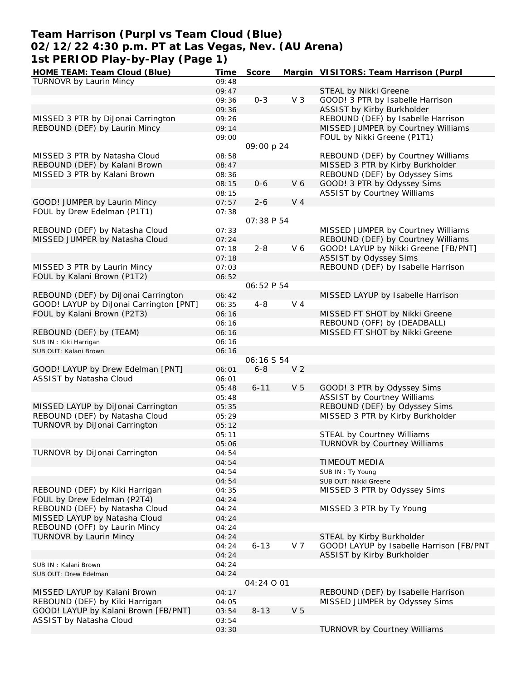### **Team Harrison (Purpl vs Team Cloud (Blue) 02/12/22 4:30 p.m. PT at Las Vegas, Nev. (AU Arena) 1st PERIOD Play-by-Play (Page 1)**

| HOME TEAM: Team Cloud (Blue)            | Time  | Score             |                | Margin VISITORS: Team Harrison (Purpl    |
|-----------------------------------------|-------|-------------------|----------------|------------------------------------------|
| TURNOVR by Laurin Mincy                 | 09:48 |                   |                |                                          |
|                                         | 09:47 |                   |                | STEAL by Nikki Greene                    |
|                                         | 09:36 | $0 - 3$           | V <sub>3</sub> | GOOD! 3 PTR by Isabelle Harrison         |
|                                         | 09:36 |                   |                | ASSIST by Kirby Burkholder               |
| MISSED 3 PTR by DiJonai Carrington      | 09:26 |                   |                | REBOUND (DEF) by Isabelle Harrison       |
| REBOUND (DEF) by Laurin Mincy           | 09:14 |                   |                | MISSED JUMPER by Courtney Williams       |
|                                         | 09:00 |                   |                | FOUL by Nikki Greene (P1T1)              |
|                                         |       | 09:00 p 24        |                |                                          |
| MISSED 3 PTR by Natasha Cloud           | 08:58 |                   |                | REBOUND (DEF) by Courtney Williams       |
| REBOUND (DEF) by Kalani Brown           |       |                   |                | MISSED 3 PTR by Kirby Burkholder         |
| MISSED 3 PTR by Kalani Brown            | 08:47 |                   |                | REBOUND (DEF) by Odyssey Sims            |
|                                         | 08:36 | $0-6$             |                |                                          |
|                                         | 08:15 |                   | V6             | GOOD! 3 PTR by Odyssey Sims              |
|                                         | 08:15 |                   |                | <b>ASSIST by Courtney Williams</b>       |
| GOOD! JUMPER by Laurin Mincy            | 07:57 | $2 - 6$           | V <sub>4</sub> |                                          |
| FOUL by Drew Edelman (P1T1)             | 07:38 |                   |                |                                          |
|                                         |       | <i>07:38 P 54</i> |                |                                          |
| REBOUND (DEF) by Natasha Cloud          | 07:33 |                   |                | MISSED JUMPER by Courtney Williams       |
| MISSED JUMPER by Natasha Cloud          | 07:24 |                   |                | REBOUND (DEF) by Courtney Williams       |
|                                         | 07:18 | $2 - 8$           | V6             | GOOD! LAYUP by Nikki Greene [FB/PNT]     |
|                                         | 07:18 |                   |                | ASSIST by Odyssey Sims                   |
| MISSED 3 PTR by Laurin Mincy            | 07:03 |                   |                | REBOUND (DEF) by Isabelle Harrison       |
| FOUL by Kalani Brown (P1T2)             | 06:52 |                   |                |                                          |
|                                         |       | 06:52 P 54        |                |                                          |
| REBOUND (DEF) by DiJonai Carrington     | 06:42 |                   |                | MISSED LAYUP by Isabelle Harrison        |
| GOOD! LAYUP by DiJonai Carrington [PNT] | 06:35 | $4 - 8$           | V <sub>4</sub> |                                          |
| FOUL by Kalani Brown (P2T3)             | 06:16 |                   |                | MISSED FT SHOT by Nikki Greene           |
|                                         | 06:16 |                   |                | REBOUND (OFF) by (DEADBALL)              |
| REBOUND (DEF) by (TEAM)                 | 06:16 |                   |                | MISSED FT SHOT by Nikki Greene           |
| SUB IN: Kiki Harrigan                   | 06:16 |                   |                |                                          |
| SUB OUT: Kalani Brown                   | 06:16 |                   |                |                                          |
|                                         |       | 06:16 S 54        |                |                                          |
| GOOD! LAYUP by Drew Edelman [PNT]       | 06:01 | $6 - 8$           | V <sub>2</sub> |                                          |
| ASSIST by Natasha Cloud                 | 06:01 |                   |                |                                          |
|                                         | 05:48 | $6 - 11$          | V <sub>5</sub> | GOOD! 3 PTR by Odyssey Sims              |
|                                         | 05:48 |                   |                | <b>ASSIST by Courtney Williams</b>       |
| MISSED LAYUP by DiJonai Carrington      | 05:35 |                   |                | REBOUND (DEF) by Odyssey Sims            |
| REBOUND (DEF) by Natasha Cloud          | 05:29 |                   |                | MISSED 3 PTR by Kirby Burkholder         |
| TURNOVR by DiJonai Carrington           | 05:12 |                   |                |                                          |
|                                         |       |                   |                | <b>STEAL by Courtney Williams</b>        |
|                                         | 05:11 |                   |                | <b>TURNOVR by Courtney Williams</b>      |
|                                         | 05:06 |                   |                |                                          |
| TURNOVR by DiJonai Carrington           | 04:54 |                   |                |                                          |
|                                         | 04:54 |                   |                | <b>TIMEOUT MEDIA</b>                     |
|                                         | 04:54 |                   |                | SUB IN: Ty Young                         |
|                                         | 04:54 |                   |                | SUB OUT: Nikki Greene                    |
| REBOUND (DEF) by Kiki Harrigan          | 04:35 |                   |                | MISSED 3 PTR by Odyssey Sims             |
| FOUL by Drew Edelman (P2T4)             | 04:24 |                   |                |                                          |
| REBOUND (DEF) by Natasha Cloud          | 04:24 |                   |                | MISSED 3 PTR by Ty Young                 |
| MISSED LAYUP by Natasha Cloud           | 04:24 |                   |                |                                          |
| REBOUND (OFF) by Laurin Mincy           | 04:24 |                   |                |                                          |
| TURNOVR by Laurin Mincy                 | 04:24 |                   |                | STEAL by Kirby Burkholder                |
|                                         | 04:24 | $6 - 13$          | V <sub>7</sub> | GOOD! LAYUP by Isabelle Harrison [FB/PNT |
|                                         | 04:24 |                   |                | ASSIST by Kirby Burkholder               |
| SUB IN: Kalani Brown                    | 04:24 |                   |                |                                          |
| SUB OUT: Drew Edelman                   | 04:24 |                   |                |                                          |
|                                         |       | 04:24 0 01        |                |                                          |
| MISSED LAYUP by Kalani Brown            | 04:17 |                   |                | REBOUND (DEF) by Isabelle Harrison       |
| REBOUND (DEF) by Kiki Harrigan          | 04:05 |                   |                | MISSED JUMPER by Odyssey Sims            |
| GOOD! LAYUP by Kalani Brown [FB/PNT]    | 03:54 | $8 - 13$          | V <sub>5</sub> |                                          |
| ASSIST by Natasha Cloud                 | 03:54 |                   |                |                                          |
|                                         | 03:30 |                   |                | TURNOVR by Courtney Williams             |
|                                         |       |                   |                |                                          |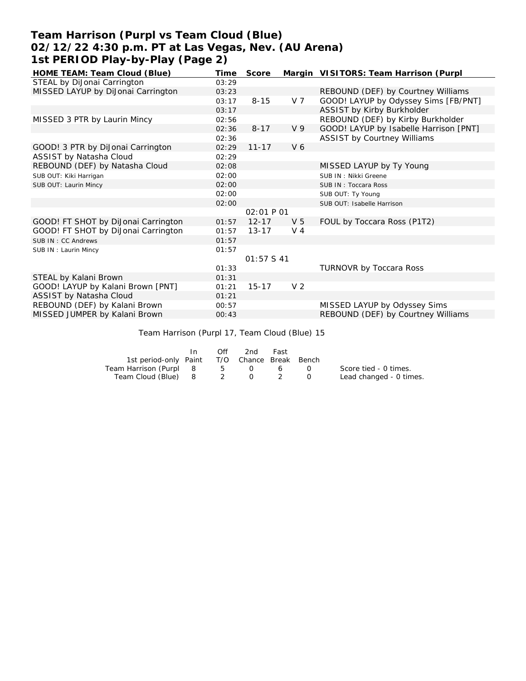# **Team Harrison (Purpl vs Team Cloud (Blue) 02/12/22 4:30 p.m. PT at Las Vegas, Nev. (AU Arena) 1st PERIOD Play-by-Play (Page 2)**

| HOME TEAM: Team Cloud (Blue)        | Time  | Score      |                | Margin VISITORS: Team Harrison (Purpl  |
|-------------------------------------|-------|------------|----------------|----------------------------------------|
| STEAL by DiJonai Carrington         | 03:29 |            |                |                                        |
| MISSED LAYUP by DiJonai Carrington  | 03:23 |            |                | REBOUND (DEF) by Courtney Williams     |
|                                     | 03:17 | $8 - 15$   | V 7            | GOOD! LAYUP by Odyssey Sims [FB/PNT]   |
|                                     | 03:17 |            |                | ASSIST by Kirby Burkholder             |
| MISSED 3 PTR by Laurin Mincy        | 02:56 |            |                | REBOUND (DEF) by Kirby Burkholder      |
|                                     | 02:36 | $8 - 17$   | V <sub>9</sub> | GOOD! LAYUP by Isabelle Harrison [PNT] |
|                                     | 02:36 |            |                | ASSIST by Courtney Williams            |
| GOOD! 3 PTR by DiJonai Carrington   | 02:29 | $11 - 17$  | V <sub>6</sub> |                                        |
| ASSIST by Natasha Cloud             | 02:29 |            |                |                                        |
| REBOUND (DEF) by Natasha Cloud      | 02:08 |            |                | MISSED LAYUP by Ty Young               |
| SUB OUT: Kiki Harrigan              | 02:00 |            |                | SUB IN: Nikki Greene                   |
| SUB OUT: Laurin Mincy               | 02:00 |            |                | SUB IN: Toccara Ross                   |
|                                     | 02:00 |            |                | SUB OUT: Ty Young                      |
|                                     | 02:00 |            |                | SUB OUT: Isabelle Harrison             |
|                                     |       | 02:01 P 01 |                |                                        |
| GOOD! FT SHOT by DiJonai Carrington | 01:57 | $12 - 17$  | V <sub>5</sub> | FOUL by Toccara Ross (P1T2)            |
| GOOD! FT SHOT by DiJonai Carrington | 01:57 | $13 - 17$  | $V_4$          |                                        |
| SUB IN: CC Andrews                  | 01:57 |            |                |                                        |
| SUB IN: Laurin Mincy                | 01:57 |            |                |                                        |
|                                     |       | 01:57S41   |                |                                        |
|                                     | 01:33 |            |                | <b>TURNOVR by Toccara Ross</b>         |
| STEAL by Kalani Brown               | 01:31 |            |                |                                        |
| GOOD! LAYUP by Kalani Brown [PNT]   | 01:21 | $15 - 17$  | V <sub>2</sub> |                                        |
| ASSIST by Natasha Cloud             | 01:21 |            |                |                                        |
| REBOUND (DEF) by Kalani Brown       | 00:57 |            |                | MISSED LAYUP by Odyssey Sims           |
| MISSED JUMPER by Kalani Brown       | 00:43 |            |                | REBOUND (DEF) by Courtney Williams     |

Team Harrison (Purpl 17, Team Cloud (Blue) 15

|                                              | Off          | 2nd | Fast |              |                         |
|----------------------------------------------|--------------|-----|------|--------------|-------------------------|
| 1st period-only Paint T/O Chance Break Bench |              |     |      |              |                         |
| Team Harrison (Purpl 8                       | $5 \qquad 0$ |     |      | $6 \qquad 0$ | Score tied - 0 times.   |
| Team Cloud (Blue) 8 2 0                      |              |     |      |              | Lead changed - 0 times. |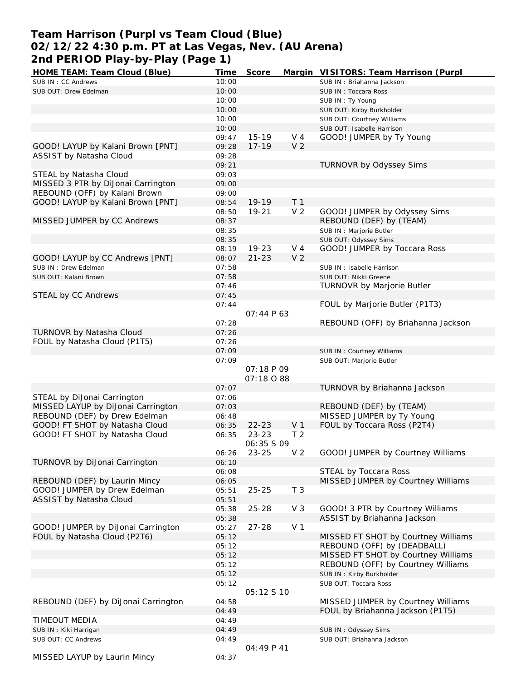# **Team Harrison (Purpl vs Team Cloud (Blue) 02/12/22 4:30 p.m. PT at Las Vegas, Nev. (AU Arena) 2nd PERIOD Play-by-Play (Page 1)**

| HOME TEAM: Team Cloud (Blue)        | Time  | Score       |                | Margin VISITORS: Team Harrison (Purpl |
|-------------------------------------|-------|-------------|----------------|---------------------------------------|
| SUB IN: CC Andrews                  | 10:00 |             |                | SUB IN: Briahanna Jackson             |
| SUB OUT: Drew Edelman               | 10:00 |             |                | SUB IN: Toccara Ross                  |
|                                     | 10:00 |             |                | SUB IN: Ty Young                      |
|                                     | 10:00 |             |                | SUB OUT: Kirby Burkholder             |
|                                     | 10:00 |             |                | SUB OUT: Courtney Williams            |
|                                     | 10:00 |             |                | SUB OUT: Isabelle Harrison            |
|                                     | 09:47 | $15 - 19$   | $V_4$          | GOOD! JUMPER by Ty Young              |
| GOOD! LAYUP by Kalani Brown [PNT]   | 09:28 | $17 - 19$   | V <sub>2</sub> |                                       |
| ASSIST by Natasha Cloud             | 09:28 |             |                |                                       |
|                                     | 09:21 |             |                | TURNOVR by Odyssey Sims               |
| STEAL by Natasha Cloud              | 09:03 |             |                |                                       |
| MISSED 3 PTR by DiJonai Carrington  | 09:00 |             |                |                                       |
| REBOUND (OFF) by Kalani Brown       | 09:00 |             |                |                                       |
| GOOD! LAYUP by Kalani Brown [PNT]   | 08:54 | 19-19       | T <sub>1</sub> |                                       |
|                                     | 08:50 | $19 - 21$   | V <sub>2</sub> | GOOD! JUMPER by Odyssey Sims          |
| MISSED JUMPER by CC Andrews         | 08:37 |             |                |                                       |
|                                     |       |             |                | REBOUND (DEF) by (TEAM)               |
|                                     | 08:35 |             |                | SUB IN : Marjorie Butler              |
|                                     | 08:35 |             |                | SUB OUT: Odyssey Sims                 |
|                                     | 08:19 | 19-23       | $V_4$          | GOOD! JUMPER by Toccara Ross          |
| GOOD! LAYUP by CC Andrews [PNT]     | 08:07 | $21 - 23$   | V <sub>2</sub> |                                       |
| SUB IN: Drew Edelman                | 07:58 |             |                | SUB IN: Isabelle Harrison             |
| SUB OUT: Kalani Brown               | 07:58 |             |                | SUB OUT: Nikki Greene                 |
|                                     | 07:46 |             |                | TURNOVR by Marjorie Butler            |
| STEAL by CC Andrews                 | 07:45 |             |                |                                       |
|                                     | 07:44 |             |                | FOUL by Marjorie Butler (P1T3)        |
|                                     |       | 07:44P63    |                |                                       |
|                                     | 07:28 |             |                | REBOUND (OFF) by Briahanna Jackson    |
| TURNOVR by Natasha Cloud            | 07:26 |             |                |                                       |
| FOUL by Natasha Cloud (P1T5)        | 07:26 |             |                |                                       |
|                                     | 07:09 |             |                | SUB IN: Courtney Williams             |
|                                     | 07:09 |             |                | SUB OUT: Marjorie Butler              |
|                                     |       | 07:18 P 09  |                |                                       |
|                                     |       | 07:18 0 88  |                |                                       |
|                                     | 07:07 |             |                | TURNOVR by Briahanna Jackson          |
| STEAL by DiJonai Carrington         | 07:06 |             |                |                                       |
| MISSED LAYUP by DiJonai Carrington  | 07:03 |             |                | REBOUND (DEF) by (TEAM)               |
| REBOUND (DEF) by Drew Edelman       | 06:48 |             |                | MISSED JUMPER by Ty Young             |
| GOOD! FT SHOT by Natasha Cloud      | 06:35 | $22 - 23$   | V <sub>1</sub> | FOUL by Toccara Ross (P2T4)           |
|                                     | 06:35 |             |                |                                       |
| GOOD! FT SHOT by Natasha Cloud      |       | $23 - 23$   | T <sub>2</sub> |                                       |
|                                     |       | 06:35 S 09  |                |                                       |
|                                     | 06:26 | 23-25       | V <sub>2</sub> | GOOD! JUMPER by Courtney Williams     |
| TURNOVR by DiJonai Carrington       | 06:10 |             |                |                                       |
|                                     | 06:08 |             |                | STEAL by Toccara Ross                 |
| REBOUND (DEF) by Laurin Mincy       | 06:05 |             |                | MISSED JUMPER by Courtney Williams    |
| GOOD! JUMPER by Drew Edelman        | 05:51 | $25 - 25$   | T <sub>3</sub> |                                       |
| ASSIST by Natasha Cloud             | 05:51 |             |                |                                       |
|                                     | 05:38 | $25 - 28$   | V <sub>3</sub> | GOOD! 3 PTR by Courtney Williams      |
|                                     | 05:38 |             |                | ASSIST by Briahanna Jackson           |
| GOOD! JUMPER by DiJonai Carrington  | 05:27 | $27 - 28$   | V <sub>1</sub> |                                       |
| FOUL by Natasha Cloud (P2T6)        | 05:12 |             |                | MISSED FT SHOT by Courtney Williams   |
|                                     | 05:12 |             |                | REBOUND (OFF) by (DEADBALL)           |
|                                     | 05:12 |             |                | MISSED FT SHOT by Courtney Williams   |
|                                     | 05:12 |             |                | REBOUND (OFF) by Courtney Williams    |
|                                     | 05:12 |             |                | SUB IN: Kirby Burkholder              |
|                                     | 05:12 |             |                | SUB OUT: Toccara Ross                 |
|                                     |       | 05:12 \$ 10 |                |                                       |
| REBOUND (DEF) by DiJonai Carrington | 04:58 |             |                | MISSED JUMPER by Courtney Williams    |
|                                     | 04:49 |             |                | FOUL by Briahanna Jackson (P1T5)      |
|                                     |       |             |                |                                       |
| TIMEOUT MEDIA                       | 04:49 |             |                |                                       |
| SUB IN: Kiki Harrigan               | 04:49 |             |                | SUB IN: Odyssey Sims                  |
| SUB OUT: CC Andrews                 | 04:49 |             |                | SUB OUT: Briahanna Jackson            |
|                                     |       | 04:49 P 41  |                |                                       |
| MISSED LAYUP by Laurin Mincy        | 04:37 |             |                |                                       |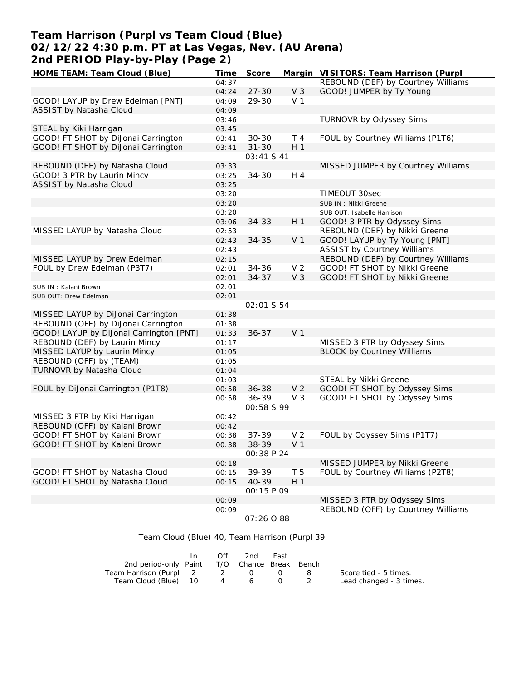# **Team Harrison (Purpl vs Team Cloud (Blue) 02/12/22 4:30 p.m. PT at Las Vegas, Nev. (AU Arena) 2nd PERIOD Play-by-Play (Page 2)**

| HOME TEAM: Team Cloud (Blue)            | Time  | Score             |                | Margin VISITORS: Team Harrison (Purpl |
|-----------------------------------------|-------|-------------------|----------------|---------------------------------------|
|                                         | 04:37 |                   |                | REBOUND (DEF) by Courtney Williams    |
|                                         | 04:24 | $27 - 30$         | V <sub>3</sub> | GOOD! JUMPER by Ty Young              |
| GOOD! LAYUP by Drew Edelman [PNT]       | 04:09 | 29-30             | V <sub>1</sub> |                                       |
| ASSIST by Natasha Cloud                 | 04:09 |                   |                |                                       |
|                                         | 03:46 |                   |                | TURNOVR by Odyssey Sims               |
| STEAL by Kiki Harrigan                  | 03:45 |                   |                |                                       |
| GOOD! FT SHOT by DiJonai Carrington     | 03:41 | $30 - 30$         | T 4            | FOUL by Courtney Williams (P1T6)      |
| GOOD! FT SHOT by DiJonai Carrington     | 03:41 | $31 - 30$         | H <sub>1</sub> |                                       |
|                                         |       | 03:41 S 41        |                |                                       |
| REBOUND (DEF) by Natasha Cloud          | 03:33 |                   |                | MISSED JUMPER by Courtney Williams    |
| GOOD! 3 PTR by Laurin Mincy             | 03:25 | $34 - 30$         | H 4            |                                       |
| ASSIST by Natasha Cloud                 | 03:25 |                   |                |                                       |
|                                         | 03:20 |                   |                | TIMEOUT 30sec                         |
|                                         | 03:20 |                   |                | SUB IN: Nikki Greene                  |
|                                         | 03:20 |                   |                | SUB OUT: Isabelle Harrison            |
|                                         |       |                   | H <sub>1</sub> | GOOD! 3 PTR by Odyssey Sims           |
|                                         | 03:06 | $34 - 33$         |                |                                       |
| MISSED LAYUP by Natasha Cloud           | 02:53 |                   |                | REBOUND (DEF) by Nikki Greene         |
|                                         | 02:43 | $34 - 35$         | V <sub>1</sub> | GOOD! LAYUP by Ty Young [PNT]         |
|                                         | 02:43 |                   |                | <b>ASSIST by Courtney Williams</b>    |
| MISSED LAYUP by Drew Edelman            | 02:15 |                   |                | REBOUND (DEF) by Courtney Williams    |
| FOUL by Drew Edelman (P3T7)             | 02:01 | $34 - 36$         | V <sub>2</sub> | GOOD! FT SHOT by Nikki Greene         |
|                                         | 02:01 | $34 - 37$         | V <sub>3</sub> | GOOD! FT SHOT by Nikki Greene         |
| SUB IN: Kalani Brown                    | 02:01 |                   |                |                                       |
| SUB OUT: Drew Edelman                   | 02:01 |                   |                |                                       |
|                                         |       | <i>02:01 S 54</i> |                |                                       |
| MISSED LAYUP by DiJonai Carrington      | 01:38 |                   |                |                                       |
| REBOUND (OFF) by DiJonai Carrington     | 01:38 |                   |                |                                       |
| GOOD! LAYUP by DiJonai Carrington [PNT] | 01:33 | $36 - 37$         | V <sub>1</sub> |                                       |
| REBOUND (DEF) by Laurin Mincy           | 01:17 |                   |                | MISSED 3 PTR by Odyssey Sims          |
| MISSED LAYUP by Laurin Mincy            | 01:05 |                   |                | <b>BLOCK by Courtney Williams</b>     |
| REBOUND (OFF) by (TEAM)                 | 01:05 |                   |                |                                       |
| TURNOVR by Natasha Cloud                | 01:04 |                   |                |                                       |
|                                         | 01:03 |                   |                | STEAL by Nikki Greene                 |
| FOUL by DiJonai Carrington (P1T8)       | 00:58 | $36 - 38$         | V <sub>2</sub> | GOOD! FT SHOT by Odyssey Sims         |
|                                         | 00:58 | $36 - 39$         | V <sub>3</sub> | GOOD! FT SHOT by Odyssey Sims         |
|                                         |       | 00:58 S 99        |                |                                       |
| MISSED 3 PTR by Kiki Harrigan           | 00:42 |                   |                |                                       |
| REBOUND (OFF) by Kalani Brown           | 00:42 |                   |                |                                       |
| GOOD! FT SHOT by Kalani Brown           | 00:38 | $37 - 39$         | V <sub>2</sub> | FOUL by Odyssey Sims (P1T7)           |
| GOOD! FT SHOT by Kalani Brown           | 00:38 | 38-39             | V <sub>1</sub> |                                       |
|                                         |       | 00:38 P 24        |                |                                       |
|                                         |       |                   |                | MISSED JUMPER by Nikki Greene         |
|                                         | 00:18 |                   | T 5            | FOUL by Courtney Williams (P2T8)      |
| GOOD! FT SHOT by Natasha Cloud          | 00:15 | 39-39             |                |                                       |
| GOOD! FT SHOT by Natasha Cloud          | 00:15 | 40-39             | H <sub>1</sub> |                                       |
|                                         |       | 00:15 P 09        |                |                                       |
|                                         | 00:09 |                   |                | MISSED 3 PTR by Odyssey Sims          |
|                                         | 00:09 |                   |                | REBOUND (OFF) by Courtney Williams    |
|                                         |       | 07:26 0 88        |                |                                       |

Team Cloud (Blue) 40, Team Harrison (Purpl 39

|                                              | In. | Off | 2nd | Fast |                         |
|----------------------------------------------|-----|-----|-----|------|-------------------------|
| 2nd period-only Paint T/O Chance Break Bench |     |     |     |      |                         |
| Team Harrison (Purpl 2 2 0                   |     |     |     |      | Score tied - 5 times.   |
| Team Cloud (Blue) 10                         |     |     | 4 6 |      | Lead changed - 3 times. |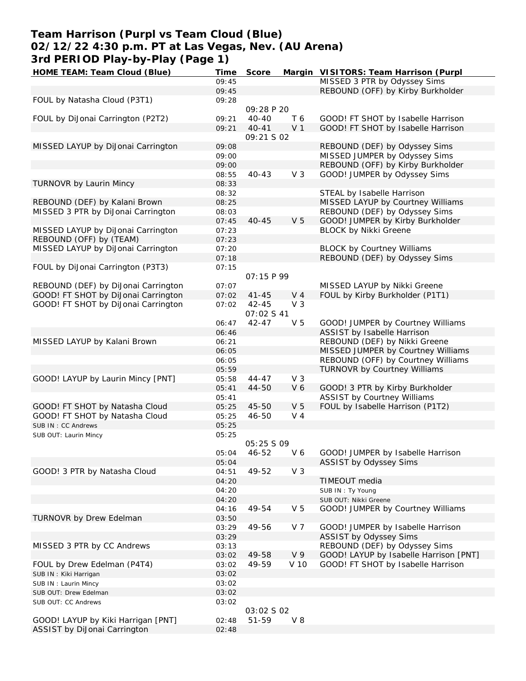## **Team Harrison (Purpl vs Team Cloud (Blue) 02/12/22 4:30 p.m. PT at Las Vegas, Nev. (AU Arena) 3rd PERIOD Play-by-Play (Page 1)**

| HOME TEAM: Team Cloud (Blue)        | Time  | Score       |                | Margin VISITORS: Team Harrison (Purpl  |
|-------------------------------------|-------|-------------|----------------|----------------------------------------|
|                                     | 09:45 |             |                | MISSED 3 PTR by Odyssey Sims           |
|                                     | 09:45 |             |                | REBOUND (OFF) by Kirby Burkholder      |
| FOUL by Natasha Cloud (P3T1)        | 09:28 |             |                |                                        |
|                                     |       | 09:28 P 20  |                |                                        |
| FOUL by DiJonai Carrington (P2T2)   | 09:21 | $40 - 40$   | T 6            | GOOD! FT SHOT by Isabelle Harrison     |
|                                     | 09:21 | $40 - 41$   | V <sub>1</sub> | GOOD! FT SHOT by Isabelle Harrison     |
|                                     |       | 09:21 S 02  |                |                                        |
| MISSED LAYUP by DiJonai Carrington  | 09:08 |             |                | REBOUND (DEF) by Odyssey Sims          |
|                                     | 09:00 |             |                | MISSED JUMPER by Odyssey Sims          |
|                                     | 09:00 |             |                | REBOUND (OFF) by Kirby Burkholder      |
|                                     | 08:55 | $40 - 43$   | V <sub>3</sub> | GOOD! JUMPER by Odyssey Sims           |
| TURNOVR by Laurin Mincy             | 08:33 |             |                |                                        |
|                                     | 08:32 |             |                | STEAL by Isabelle Harrison             |
| REBOUND (DEF) by Kalani Brown       | 08:25 |             |                | MISSED LAYUP by Courtney Williams      |
| MISSED 3 PTR by DiJonai Carrington  | 08:03 |             |                | REBOUND (DEF) by Odyssey Sims          |
|                                     | 07:45 | $40 - 45$   | V <sub>5</sub> | GOOD! JUMPER by Kirby Burkholder       |
|                                     |       |             |                |                                        |
| MISSED LAYUP by DiJonai Carrington  | 07:23 |             |                | <b>BLOCK by Nikki Greene</b>           |
| REBOUND (OFF) by (TEAM)             | 07:23 |             |                |                                        |
| MISSED LAYUP by DiJonai Carrington  | 07:20 |             |                | <b>BLOCK by Courtney Williams</b>      |
|                                     | 07:18 |             |                | REBOUND (DEF) by Odyssey Sims          |
| FOUL by DiJonai Carrington (P3T3)   | 07:15 |             |                |                                        |
|                                     |       | O7:15 P 99  |                |                                        |
| REBOUND (DEF) by DiJonai Carrington | 07:07 |             |                | MISSED LAYUP by Nikki Greene           |
| GOOD! FT SHOT by DiJonai Carrington | 07:02 | $41 - 45$   | V <sub>4</sub> | FOUL by Kirby Burkholder (P1T1)        |
| GOOD! FT SHOT by DiJonai Carrington | 07:02 | $42 - 45$   | V <sub>3</sub> |                                        |
|                                     |       | 07:02 \$ 41 |                |                                        |
|                                     | 06:47 | $42 - 47$   | V <sub>5</sub> | GOOD! JUMPER by Courtney Williams      |
|                                     | 06:46 |             |                | ASSIST by Isabelle Harrison            |
| MISSED LAYUP by Kalani Brown        | 06:21 |             |                | REBOUND (DEF) by Nikki Greene          |
|                                     | 06:05 |             |                | MISSED JUMPER by Courtney Williams     |
|                                     | 06:05 |             |                | REBOUND (OFF) by Courtney Williams     |
|                                     | 05:59 |             |                | TURNOVR by Courtney Williams           |
| GOOD! LAYUP by Laurin Mincy [PNT]   | 05:58 | $44 - 47$   | V <sub>3</sub> |                                        |
|                                     | 05:41 | 44-50       | V6             | GOOD! 3 PTR by Kirby Burkholder        |
|                                     | 05:41 |             |                | <b>ASSIST by Courtney Williams</b>     |
| GOOD! FT SHOT by Natasha Cloud      | 05:25 | 45-50       | V <sub>5</sub> | FOUL by Isabelle Harrison (P1T2)       |
| GOOD! FT SHOT by Natasha Cloud      |       | 46-50       | V <sub>4</sub> |                                        |
|                                     | 05:25 |             |                |                                        |
| SUB IN: CC Andrews                  | 05:25 |             |                |                                        |
| SUB OUT: Laurin Mincy               | 05:25 |             |                |                                        |
|                                     |       | 05:25 S 09  |                |                                        |
|                                     | 05:04 | 46-52       | V6             | GOOD! JUMPER by Isabelle Harrison      |
|                                     | 05:04 |             |                | ASSIST by Odyssey Sims                 |
| GOOD! 3 PTR by Natasha Cloud        | 04:51 | 49-52       | V <sub>3</sub> |                                        |
|                                     | 04:20 |             |                | TIMEOUT media                          |
|                                     | 04:20 |             |                | SUB IN: Ty Young                       |
|                                     | 04:20 |             |                | SUB OUT: Nikki Greene                  |
|                                     | 04:16 | 49-54       | V <sub>5</sub> | GOOD! JUMPER by Courtney Williams      |
| TURNOVR by Drew Edelman             | 03:50 |             |                |                                        |
|                                     | 03:29 | 49-56       | V 7            | GOOD! JUMPER by Isabelle Harrison      |
|                                     | 03:29 |             |                | ASSIST by Odyssey Sims                 |
| MISSED 3 PTR by CC Andrews          | 03:13 |             |                | REBOUND (DEF) by Odyssey Sims          |
|                                     | 03:02 | 49-58       | V <sub>9</sub> | GOOD! LAYUP by Isabelle Harrison [PNT] |
| FOUL by Drew Edelman (P4T4)         | 03:02 | 49-59       | V 10           | GOOD! FT SHOT by Isabelle Harrison     |
| SUB IN: Kiki Harrigan               | 03:02 |             |                |                                        |
| SUB IN: Laurin Mincy                | 03:02 |             |                |                                        |
| SUB OUT: Drew Edelman               | 03:02 |             |                |                                        |
| SUB OUT: CC Andrews                 | 03:02 |             |                |                                        |
|                                     |       | 03:02 S 02  |                |                                        |
| GOOD! LAYUP by Kiki Harrigan [PNT]  | 02:48 | 51-59       | $V_8$          |                                        |
| ASSIST by DiJonai Carrington        | 02:48 |             |                |                                        |
|                                     |       |             |                |                                        |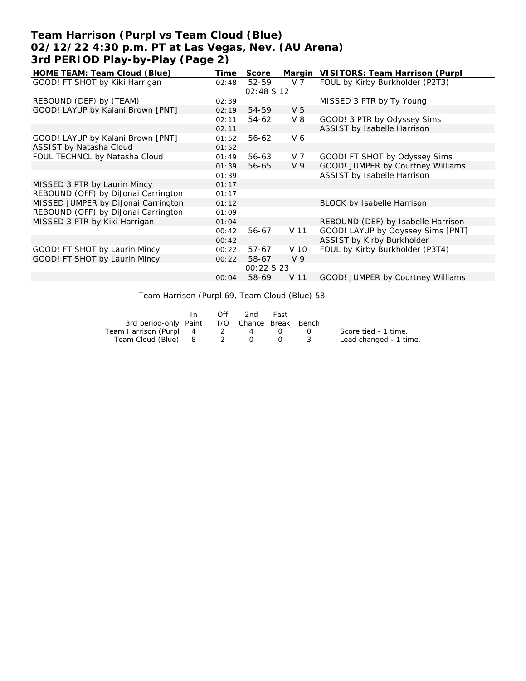## **Team Harrison (Purpl vs Team Cloud (Blue) 02/12/22 4:30 p.m. PT at Las Vegas, Nev. (AU Arena) 3rd PERIOD Play-by-Play (Page 2)**

| HOME TEAM: Team Cloud (Blue)        | Time  | Score             |                 | Margin VISITORS: Team Harrison (Purpl |
|-------------------------------------|-------|-------------------|-----------------|---------------------------------------|
| GOOD! FT SHOT by Kiki Harrigan      | 02:48 | 52-59             | V <sub>7</sub>  | FOUL by Kirby Burkholder (P2T3)       |
|                                     |       | 02:48 \$ 12       |                 |                                       |
| REBOUND (DEF) by (TEAM)             | 02:39 |                   |                 | MISSED 3 PTR by Ty Young              |
| GOOD! LAYUP by Kalani Brown [PNT]   | 02:19 | 54-59             | V <sub>5</sub>  |                                       |
|                                     | 02:11 | 54-62             | $V_8$           | GOOD! 3 PTR by Odyssey Sims           |
|                                     | 02:11 |                   |                 | ASSIST by Isabelle Harrison           |
| GOOD! LAYUP by Kalani Brown [PNT]   | 01:52 | 56-62             | V <sub>6</sub>  |                                       |
| ASSIST by Natasha Cloud             | 01:52 |                   |                 |                                       |
| FOUL TECHNCL by Natasha Cloud       | 01:49 | 56-63             | V 7             | GOOD! FT SHOT by Odyssey Sims         |
|                                     | 01:39 | 56-65             | V <sub>9</sub>  | GOOD! JUMPER by Courtney Williams     |
|                                     | 01:39 |                   |                 | ASSIST by Isabelle Harrison           |
| MISSED 3 PTR by Laurin Mincy        | 01:17 |                   |                 |                                       |
| REBOUND (OFF) by DiJonai Carrington | 01:17 |                   |                 |                                       |
| MISSED JUMPER by DiJonai Carrington | 01:12 |                   |                 | BLOCK by Isabelle Harrison            |
| REBOUND (OFF) by DiJonai Carrington | 01:09 |                   |                 |                                       |
| MISSED 3 PTR by Kiki Harrigan       | 01:04 |                   |                 | REBOUND (DEF) by Isabelle Harrison    |
|                                     | 00:42 | 56-67             | V <sub>11</sub> | GOOD! LAYUP by Odyssey Sims [PNT]     |
|                                     | 00:42 |                   |                 | ASSIST by Kirby Burkholder            |
| GOOD! FT SHOT by Laurin Mincy       | 00:22 | 57-67             | V <sub>10</sub> | FOUL by Kirby Burkholder (P3T4)       |
| GOOD! FT SHOT by Laurin Mincy       | 00:22 | 58-67             | V <sub>9</sub>  |                                       |
|                                     |       | <i>00:22 S 23</i> |                 |                                       |
|                                     | 00:04 | 58-69             | V <sub>11</sub> | GOOD! JUMPER by Courtney Williams     |
|                                     |       |                   |                 |                                       |

Team Harrison (Purpl 69, Team Cloud (Blue) 58

|                                              | In 1 | Off | 2nd | Fast |                        |
|----------------------------------------------|------|-----|-----|------|------------------------|
| 3rd period-only Paint T/O Chance Break Bench |      |     |     |      |                        |
| Team Harrison (Purpl 4 2 4 0 0               |      |     |     |      | Score tied - 1 time.   |
| Team Cloud (Blue) 8 2 0 0 3                  |      |     |     |      | Lead changed - 1 time. |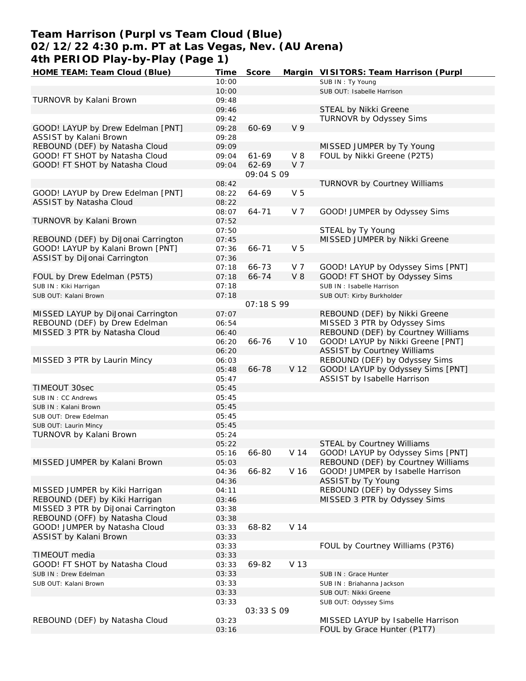# **Team Harrison (Purpl vs Team Cloud (Blue) 02/12/22 4:30 p.m. PT at Las Vegas, Nev. (AU Arena) 4th PERIOD Play-by-Play (Page 1)**

| HOME TEAM: Team Cloud (Blue)        | <u>Time</u> | Score      |                | Margin VISITORS: Team Harrison (Purpl |
|-------------------------------------|-------------|------------|----------------|---------------------------------------|
|                                     | 10:00       |            |                | SUB IN: Ty Young                      |
|                                     | 10:00       |            |                | SUB OUT: Isabelle Harrison            |
| TURNOVR by Kalani Brown             | 09:48       |            |                |                                       |
|                                     | 09:46       |            |                | STEAL by Nikki Greene                 |
|                                     | 09:42       |            |                | TURNOVR by Odyssey Sims               |
| GOOD! LAYUP by Drew Edelman [PNT]   | 09:28       | 60-69      | V <sub>9</sub> |                                       |
| ASSIST by Kalani Brown              | 09:28       |            |                |                                       |
| REBOUND (DEF) by Natasha Cloud      | 09:09       |            |                | MISSED JUMPER by Ty Young             |
|                                     |             |            | $V_8$          |                                       |
| GOOD! FT SHOT by Natasha Cloud      | 09:04       | 61-69      |                | FOUL by Nikki Greene (P2T5)           |
| GOOD! FT SHOT by Natasha Cloud      | 09:04       | 62-69      | V 7            |                                       |
|                                     |             | 09:04 S 09 |                |                                       |
|                                     | 08:42       |            |                | TURNOVR by Courtney Williams          |
| GOOD! LAYUP by Drew Edelman [PNT]   | 08:22       | 64-69      | V <sub>5</sub> |                                       |
| ASSIST by Natasha Cloud             | 08:22       |            |                |                                       |
|                                     | 08:07       | 64-71      | V 7            | GOOD! JUMPER by Odyssey Sims          |
| TURNOVR by Kalani Brown             | 07:52       |            |                |                                       |
|                                     | 07:50       |            |                | STEAL by Ty Young                     |
| REBOUND (DEF) by DiJonai Carrington | 07:45       |            |                | MISSED JUMPER by Nikki Greene         |
| GOOD! LAYUP by Kalani Brown [PNT]   | 07:36       | 66-71      | V <sub>5</sub> |                                       |
| ASSIST by DiJonai Carrington        | 07:36       |            |                |                                       |
|                                     |             |            |                |                                       |
|                                     | 07:18       | 66-73      | V 7            | GOOD! LAYUP by Odyssey Sims [PNT]     |
| FOUL by Drew Edelman (P5T5)         | 07:18       | 66-74      | $V_8$          | GOOD! FT SHOT by Odyssey Sims         |
| SUB IN: Kiki Harrigan               | 07:18       |            |                | SUB IN: Isabelle Harrison             |
| SUB OUT: Kalani Brown               | 07:18       |            |                | SUB OUT: Kirby Burkholder             |
|                                     |             | 07:18 S 99 |                |                                       |
| MISSED LAYUP by DiJonai Carrington  | 07:07       |            |                | REBOUND (DEF) by Nikki Greene         |
| REBOUND (DEF) by Drew Edelman       | 06:54       |            |                | MISSED 3 PTR by Odyssey Sims          |
| MISSED 3 PTR by Natasha Cloud       | 06:40       |            |                | REBOUND (DEF) by Courtney Williams    |
|                                     | 06:20       | 66-76      | V 10           | GOOD! LAYUP by Nikki Greene [PNT]     |
|                                     | 06:20       |            |                | <b>ASSIST by Courtney Williams</b>    |
| MISSED 3 PTR by Laurin Mincy        | 06:03       |            |                | REBOUND (DEF) by Odyssey Sims         |
|                                     |             | 66-78      | V 12           |                                       |
|                                     | 05:48       |            |                | GOOD! LAYUP by Odyssey Sims [PNT]     |
|                                     | 05:47       |            |                | ASSIST by Isabelle Harrison           |
| <b>TIMEOUT 30sec</b>                | 05:45       |            |                |                                       |
| SUB IN: CC Andrews                  | 05:45       |            |                |                                       |
| SUB IN: Kalani Brown                | 05:45       |            |                |                                       |
| SUB OUT: Drew Edelman               | 05:45       |            |                |                                       |
| SUB OUT: Laurin Mincy               | 05:45       |            |                |                                       |
| TURNOVR by Kalani Brown             | 05:24       |            |                |                                       |
|                                     | 05:22       |            |                | <b>STEAL by Courtney Williams</b>     |
|                                     | 05:16       | 66-80      | V 14           | GOOD! LAYUP by Odyssey Sims [PNT]     |
| MISSED JUMPER by Kalani Brown       | 05:03       |            |                | REBOUND (DEF) by Courtney Williams    |
|                                     | 04:36       | 66-82      | V 16           | GOOD! JUMPER by Isabelle Harrison     |
|                                     |             |            |                | ASSIST by Ty Young                    |
|                                     | 04:36       |            |                |                                       |
| MISSED JUMPER by Kiki Harrigan      | 04:11       |            |                | REBOUND (DEF) by Odyssey Sims         |
| REBOUND (DEF) by Kiki Harrigan      | 03:46       |            |                | MISSED 3 PTR by Odyssey Sims          |
| MISSED 3 PTR by DiJonai Carrington  | 03:38       |            |                |                                       |
| REBOUND (OFF) by Natasha Cloud      | 03:38       |            |                |                                       |
| GOOD! JUMPER by Natasha Cloud       | 03:33       | 68-82      | V 14           |                                       |
| ASSIST by Kalani Brown              | 03:33       |            |                |                                       |
|                                     | 03:33       |            |                | FOUL by Courtney Williams (P3T6)      |
| TIMEOUT media                       | 03:33       |            |                |                                       |
| GOOD! FT SHOT by Natasha Cloud      | 03:33       | 69-82      | V 13           |                                       |
| SUB IN : Drew Edelman               | 03:33       |            |                | SUB IN: Grace Hunter                  |
|                                     | 03:33       |            |                |                                       |
| SUB OUT: Kalani Brown               |             |            |                | SUB IN: Briahanna Jackson             |
|                                     | 03:33       |            |                | SUB OUT: Nikki Greene                 |
|                                     | 03:33       |            |                | SUB OUT: Odyssey Sims                 |
|                                     |             | 03:33 S 09 |                |                                       |
| REBOUND (DEF) by Natasha Cloud      | 03:23       |            |                | MISSED LAYUP by Isabelle Harrison     |
|                                     | 03:16       |            |                | FOUL by Grace Hunter (P1T7)           |
|                                     |             |            |                |                                       |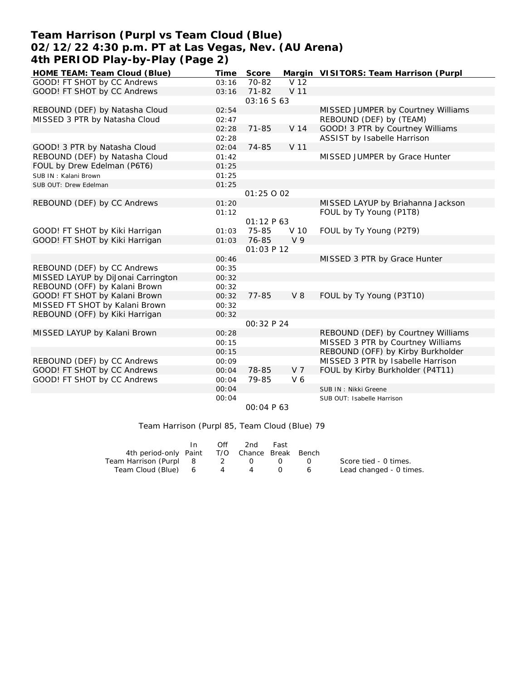## **Team Harrison (Purpl vs Team Cloud (Blue) 02/12/22 4:30 p.m. PT at Las Vegas, Nev. (AU Arena) 4th PERIOD Play-by-Play (Page 2)**

| HOME TEAM: Team Cloud (Blue)       | Time  | Score      |                 | Margin VISITORS: Team Harrison (Purpl |
|------------------------------------|-------|------------|-----------------|---------------------------------------|
| GOOD! FT SHOT by CC Andrews        | 03:16 | 70-82      | V 12            |                                       |
| GOOD! FT SHOT by CC Andrews        | 03:16 | $71 - 82$  | V <sub>11</sub> |                                       |
|                                    |       | 03:16 5 63 |                 |                                       |
| REBOUND (DEF) by Natasha Cloud     | 02:54 |            |                 | MISSED JUMPER by Courtney Williams    |
| MISSED 3 PTR by Natasha Cloud      | 02:47 |            |                 | REBOUND (DEF) by (TEAM)               |
|                                    | 02:28 | $71 - 85$  | V <sub>14</sub> | GOOD! 3 PTR by Courtney Williams      |
|                                    | 02:28 |            |                 | ASSIST by Isabelle Harrison           |
| GOOD! 3 PTR by Natasha Cloud       | 02:04 | 74-85      | V <sub>11</sub> |                                       |
| REBOUND (DEF) by Natasha Cloud     | 01:42 |            |                 | MISSED JUMPER by Grace Hunter         |
| FOUL by Drew Edelman (P6T6)        | 01:25 |            |                 |                                       |
| SUB IN: Kalani Brown               | 01:25 |            |                 |                                       |
| SUB OUT: Drew Edelman              | 01:25 |            |                 |                                       |
|                                    |       | 01:25 0 02 |                 |                                       |
| REBOUND (DEF) by CC Andrews        | 01:20 |            |                 | MISSED LAYUP by Briahanna Jackson     |
|                                    | 01:12 |            |                 | FOUL by Ty Young (P1T8)               |
|                                    |       | 01:12P63   |                 |                                       |
| GOOD! FT SHOT by Kiki Harrigan     | 01:03 | 75-85      | V 10            | FOUL by Ty Young (P2T9)               |
| GOOD! FT SHOT by Kiki Harrigan     | 01:03 | 76-85      | V <sub>9</sub>  |                                       |
|                                    |       | 01:03 P 12 |                 |                                       |
|                                    | 00:46 |            |                 | MISSED 3 PTR by Grace Hunter          |
| REBOUND (DEF) by CC Andrews        | 00:35 |            |                 |                                       |
| MISSED LAYUP by DiJonai Carrington | 00:32 |            |                 |                                       |
| REBOUND (OFF) by Kalani Brown      | 00:32 |            |                 |                                       |
| GOOD! FT SHOT by Kalani Brown      | 00:32 | 77-85      | V <sub>8</sub>  | FOUL by Ty Young (P3T10)              |
| MISSED FT SHOT by Kalani Brown     | 00:32 |            |                 |                                       |
| REBOUND (OFF) by Kiki Harrigan     | 00:32 |            |                 |                                       |
|                                    |       | 00:32 P 24 |                 |                                       |
| MISSED LAYUP by Kalani Brown       | 00:28 |            |                 | REBOUND (DEF) by Courtney Williams    |
|                                    | 00:15 |            |                 | MISSED 3 PTR by Courtney Williams     |
|                                    | 00:15 |            |                 | REBOUND (OFF) by Kirby Burkholder     |
| REBOUND (DEF) by CC Andrews        | 00:09 |            |                 | MISSED 3 PTR by Isabelle Harrison     |
| GOOD! FT SHOT by CC Andrews        | 00:04 | 78-85      | V <sub>7</sub>  | FOUL by Kirby Burkholder (P4T11)      |
| GOOD! FT SHOT by CC Andrews        | 00:04 | 79-85      | V6              |                                       |
|                                    | 00:04 |            |                 | SUB IN: Nikki Greene                  |
|                                    | 00:04 |            |                 | SUB OUT: Isabelle Harrison            |
|                                    |       | 00:04 P 63 |                 |                                       |

Team Harrison (Purpl 85, Team Cloud (Blue) 79

|                                              | In. | Off      | 2nd | Fast |                                               |                         |
|----------------------------------------------|-----|----------|-----|------|-----------------------------------------------|-------------------------|
| 4th period-only Paint T/O Chance Break Bench |     |          |     |      |                                               |                         |
| Team Harrison (Purpl 8                       |     | 2 0      |     |      | $\left( \begin{array}{c} \end{array} \right)$ | Score tied - 0 times.   |
| Team Cloud (Blue) 6                          |     | $\sim$ 4 |     |      |                                               | Lead changed - 0 times. |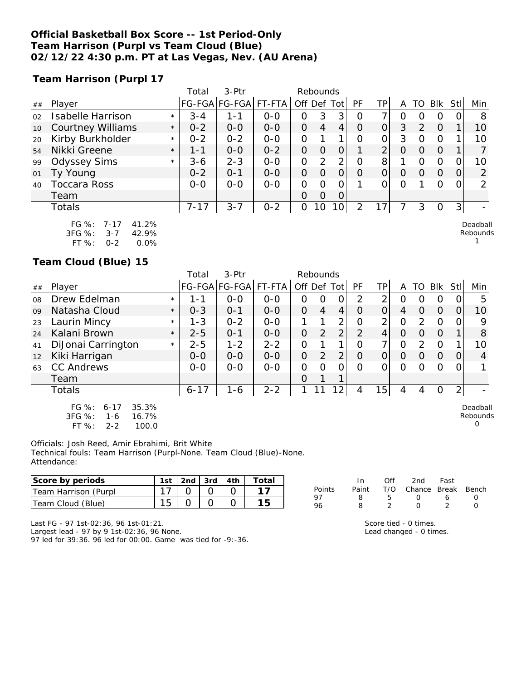### **Official Basketball Box Score -- 1st Period-Only Team Harrison (Purpl vs Team Cloud (Blue) 02/12/22 4:30 p.m. PT at Las Vegas, Nev. (AU Arena)**

**Team Harrison (Purpl 17**

|    |                          |         | Total    | $3-Ptr$  |         |             | Rebounds      |                |               |                |         |                  |            |     |          |
|----|--------------------------|---------|----------|----------|---------|-------------|---------------|----------------|---------------|----------------|---------|------------------|------------|-----|----------|
| ## | Player                   |         | FG-FGA   | $FG-FGA$ | FT-FTA  | Off Def Tot |               |                | PF            | TP             | A       | TO               | <b>BIK</b> | Stl | Min      |
| 02 | <b>Isabelle Harrison</b> | $\star$ | $3 - 4$  | 1-1      | $0 - 0$ | O           | 3             | 3              | O             |                |         | $\left( \right)$ | O          | 0   | 8        |
| 10 | <b>Courtney Williams</b> | $\star$ | $0 - 2$  | $0 - 0$  | $0 - 0$ | O           | 4             | $\overline{4}$ | $\Omega$      | $\Omega$       | 3       | $\mathcal{P}$    | $\Omega$   |     | 10       |
| 20 | Kirby Burkholder         | $\star$ | $0 - 2$  | $0 - 2$  | $O - O$ | O           |               | 1              | 0             | 0              | 3       | Ω                | 0          |     | 10       |
| 54 | Nikki Greene             | $\star$ | $1 - 1$  | $0 - 0$  | $0 - 2$ | O           | 0             | $\Omega$       |               | $\overline{2}$ | $\circ$ | O                | $\Omega$   |     |          |
| 99 | <b>Odyssey Sims</b>      | $\star$ | $3 - 6$  | $2 - 3$  | $0 - 0$ | O           | $\mathcal{P}$ | $\overline{2}$ | 0             | 8              |         | Ο                | 0          | 0   | 10       |
| 01 | Ty Young                 |         | $0 - 2$  | $O - 1$  | $0 - 0$ | 0           | 0             | $\overline{O}$ | $\Omega$      | O              | $\circ$ | $\Omega$         | $\Omega$   | 0   | 2        |
| 40 | Toccara Ross             |         | $0-0$    | $O-O$    | $0 - 0$ | $\Omega$    | $\Omega$      | 0              |               | 0              | O       |                  | $\Omega$   | 0   | 2        |
|    | Team                     |         |          |          |         | O           | $\Omega$      | $\Omega$       |               |                |         |                  |            |     |          |
|    | Totals                   |         | $7 - 17$ | $3 - 7$  | $0 - 2$ | 0           | 10            | 10             | $\mathcal{P}$ | 7              |         | 3                | 0          | 3   |          |
|    | FG %: 7-17<br>41.2%      |         |          |          |         |             |               |                |               |                |         |                  |            |     | Deadball |

| FG $\%$ : | 7-17    | 41.2%   |
|-----------|---------|---------|
| $3FG \%$  | $3 - 7$ | 42.9%   |
| FT %:     | 0-2     | $0.0\%$ |

### **Team Cloud (Blue) 15**

|    |                                                                                            |         | Total    | $3-Ptr$              |         |                | Rebounds       |                 |                |                 |                |               |                |                |                           |
|----|--------------------------------------------------------------------------------------------|---------|----------|----------------------|---------|----------------|----------------|-----------------|----------------|-----------------|----------------|---------------|----------------|----------------|---------------------------|
| ## | Player                                                                                     |         |          | FG-FGA FG-FGA FT-FTA |         | Off Def Tot    |                |                 | PF             | ΤP              | A              | TO            | Blk            | StII           | Min                       |
| 08 | Drew Edelman                                                                               | $\star$ | 1-1      | $0 - 0$              | $0 - 0$ | Ο              | 0              | 0               | 2              | 2               | Ο              | O             | Ő              |                | 5                         |
| 09 | Natasha Cloud                                                                              | $\star$ | $0 - 3$  | $O - 1$              | $0 - 0$ | $\overline{O}$ | $\overline{4}$ | 4               | 0              | 0               | 4              | 0             | 0              | 0              | 10                        |
| 23 | Laurin Mincy                                                                               | $\star$ | $1 - 3$  | $0 - 2$              | $0 - 0$ |                |                | 2               | Ο              | $\overline{2}$  | 0              | 2             | $\circ$        | 0              | 9                         |
| 24 | Kalani Brown                                                                               | $\star$ | $2 - 5$  | $O - 1$              | $0-0$   | $\overline{O}$ | $\overline{2}$ | $\overline{2}$  | $\overline{2}$ | 4               | $\Omega$       | $\Omega$      | $\Omega$       |                | 8                         |
| 41 | DiJonai Carrington                                                                         | $\star$ | $2 - 5$  | $1 - 2$              | $2 - 2$ | O              |                | 1               | 0              | 7               | 0              | $\mathcal{D}$ | $\Omega$       |                | 10                        |
| 12 | Kiki Harrigan                                                                              |         | $0 - 0$  | $0 - 0$              | $0 - 0$ | $\overline{O}$ | 2              | $\overline{2}$  | $\overline{O}$ | $\overline{O}$  | $\overline{O}$ | O             | $\overline{O}$ | O              | 4                         |
| 63 | <b>CC Andrews</b>                                                                          |         | $0 - 0$  | $0-0$                | $0-0$   | 0              | Ω              | 0               | Ω              | 0               | Ω              | ∩             | Ω              |                |                           |
|    | Team                                                                                       |         |          |                      |         | 0              |                | 1               |                |                 |                |               |                |                |                           |
|    | <b>Totals</b>                                                                              |         | $6 - 17$ | $1 - 6$              | $2 - 2$ |                |                | 12 <sub>1</sub> | 4              | 15 <sub>l</sub> | 4              | 4             | O              | $\overline{2}$ |                           |
|    | FG $%$ :<br>35.3%<br>$6 - 17$<br>3FG %:<br>16.7%<br>$1 - 6$<br>$FT$ %:<br>$2 - 2$<br>100.0 |         |          |                      |         |                |                |                 |                |                 |                |               |                |                | Deadball<br>Rebounds<br>0 |

Officials: Josh Reed, Amir Ebrahimi, Brit White Technical fouls: Team Harrison (Purpl-None. Team Cloud (Blue)-None. Attendance:

| Score by periods     | 1st                           | 2nd | 3rd | 4th | $\tau$ otal |        | In    | Off | 2no    | Fast         |
|----------------------|-------------------------------|-----|-----|-----|-------------|--------|-------|-----|--------|--------------|
| Team Harrison (Purpl |                               |     |     |     |             | Points | Paint | T/O | Chance | <b>Break</b> |
| Cloud (Blue)<br>Геаm | ∽<br>$\overline{\phantom{0}}$ |     |     |     |             | 96     |       |     |        |              |

Last FG - 97 1st-02:36, 96 1st-01:21.

Largest lead - 97 by 9 1st-02:36, 96 None.

97 led for 39:36. 96 led for 00:00. Game was tied for -9:-36.

|        | In. | ∩ff | 2nd Fast                     |   |                  |
|--------|-----|-----|------------------------------|---|------------------|
| Points |     |     | Paint T/O Chance Break Bench |   |                  |
| 97     | x   | Б.  | $\cup$                       | 6 | $\left( \right)$ |
| 96     |     |     | n                            |   | $\cap$           |

Rebounds 1

Score tied - 0 times. Lead changed - 0 times.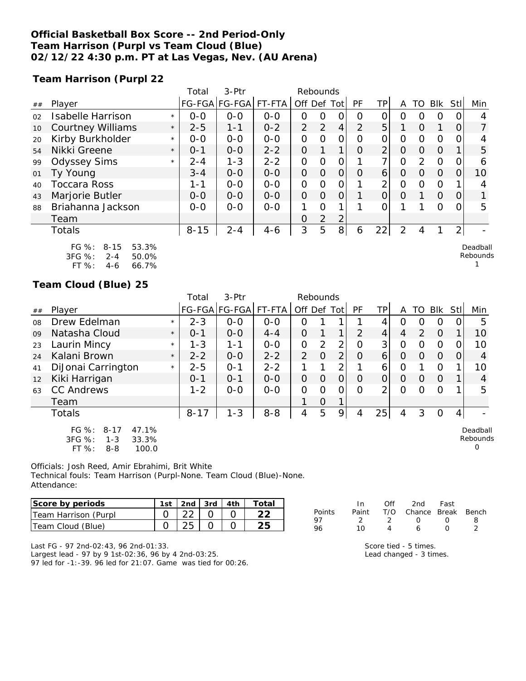### **Official Basketball Box Score -- 2nd Period-Only Team Harrison (Purpl vs Team Cloud (Blue) 02/12/22 4:30 p.m. PT at Las Vegas, Nev. (AU Arena)**

**Team Harrison (Purpl 22**

|        |                                                                                       |            | Total    | 3-Ptr                    |               | Rebounds       |             |                |                |                |                |               |               |                  |                      |
|--------|---------------------------------------------------------------------------------------|------------|----------|--------------------------|---------------|----------------|-------------|----------------|----------------|----------------|----------------|---------------|---------------|------------------|----------------------|
| ##     | Player                                                                                |            |          | FG-FGA FG-FGA FT-FTA     |               | Off Def Tot    |             |                | PF             | <b>TP</b>      | A              |               | TO Blk        | Stl              | Min                  |
| 02     | Isabelle Harrison                                                                     | $\star$    | $0 - 0$  | $0 - 0$                  | $O-O$         | 0              | Ο           | 0              | Ο              | 0              | 0              | 0             | 0             |                  | 4                    |
| 10     | <b>Courtney Williams</b>                                                              | $\star$    | $2 - 5$  | $1 - 1$                  | $0 - 2$       | $\overline{2}$ | 2           | $\overline{4}$ | $\overline{2}$ | 5              | 1              | 0             | 1             | 0                | 7                    |
| 20     | Kirby Burkholder                                                                      | $^{\star}$ | $0-0$    | $0-0$                    | $0 - 0$       | $\mathcal{O}$  | O           | O              | 0              | 0              | $\mathcal{O}$  | $\mathcal{O}$ | $\mathbf{O}$  | O                | 4                    |
| 54     | Nikki Greene                                                                          | $\star$    | $0 - 1$  | $0-0$                    | $2 - 2$       | $\overline{O}$ | 1           | $\mathbf{1}$   | 0              | $\overline{2}$ | $\overline{O}$ | $\Omega$      | $\Omega$      |                  | 5                    |
| 99     | <b>Odyssey Sims</b>                                                                   | $\star$    | $2 - 4$  | $1 - 3$                  | $2 - 2$       | O              | 0           | 0              |                | 7              | $\Omega$       | 2             | $\Omega$      | $\left( \right)$ | 6                    |
| 01     | Ty Young                                                                              |            | $3 - 4$  | $0-0$                    | $0-0$         | $\overline{O}$ | 0           | $\overline{O}$ | O              | 6              | $\Omega$       | $\Omega$      | $\Omega$      | $\Omega$         | 10                   |
| 40     | Toccara Ross                                                                          |            | $1 - 1$  | $0-0$                    | $0-0$         | 0              | $\Omega$    | 0              |                | $\overline{2}$ | 0              | 0             | $\mathcal{O}$ |                  | 4                    |
| 43     | Marjorie Butler                                                                       |            | $0-0$    | $0-0$                    | $0-0$         | $\overline{O}$ | 0           | 0              |                | 0              | 0              |               | $\Omega$      | 0                |                      |
| 88     | Briahanna Jackson                                                                     |            | $0-0$    | $0 - 0$                  | $0 - 0$       | 1              | 0           |                |                | 0              |                |               | $\Omega$      | Ω                | 5                    |
|        | Team                                                                                  |            |          |                          |               | 0              | 2           | $\overline{2}$ |                |                |                |               |               |                  |                      |
|        | Totals                                                                                |            | $8 - 15$ | $2 - 4$                  | $4 - 6$       | 3              | 5           | 8 <sup>1</sup> | 6              | 22             | $\overline{2}$ | 4             |               | $\overline{2}$   |                      |
|        | FG %:<br>$8 - 15$<br>53.3%<br>3FG %:<br>$2 - 4$<br>50.0%<br>FT %:<br>66.7%<br>$4 - 6$ |            |          |                          |               |                |             |                |                |                |                |               |               |                  | Deadball<br>Rebounds |
|        | Team Cloud (Blue) 25                                                                  |            |          |                          |               |                |             |                |                |                |                |               |               |                  |                      |
|        |                                                                                       |            | Total    | 3-Ptr                    |               | Rebounds       |             |                |                |                |                |               |               |                  |                      |
| ##     | Player                                                                                |            |          | FG-FGA   FG-FGA   FT-FTA |               | Off Def Tot    |             |                | PF             | <b>TP</b>      | A              | TO            | Blk           | Stll             | Min                  |
| $\cap$ | Drow Edolman                                                                          | $\star$    | າ າ      | $\cap$ $\cap$            | $\cap$ $\cap$ | $\cap$         | $\mathbf 1$ | 1              | 1              | $\Lambda$      | $\cap$         | $\cap$        | $\cap$        | $\cap$           | π                    |

| ## | Player                                                                              |         |          | FG-FGAIFG-FGAIFT-FTA |         | Off Def        |                | Tot            | ۲F            | IΡ | A              | ∪             | BIK.           | Stil | Min                       |
|----|-------------------------------------------------------------------------------------|---------|----------|----------------------|---------|----------------|----------------|----------------|---------------|----|----------------|---------------|----------------|------|---------------------------|
| 08 | Drew Edelman                                                                        | $\star$ | $2 - 3$  | $0-0$                | $O - O$ | 0              |                |                |               | 4  | 0              | O             | O              | 0    | 5                         |
| 09 | Natasha Cloud                                                                       | $\star$ | $0 - 1$  | $0 - 0$              | $4 - 4$ | 0              |                | 1              | $\mathcal{P}$ | 4  | 4              | $\mathcal{P}$ | $\Omega$       |      | 10                        |
| 23 | Laurin Mincy                                                                        | $\star$ | $1 - 3$  | $1 - 1$              | $0 - 0$ | 0              | 2              | 2              | 0             | 3  | $\Omega$       | O             | $\Omega$       | 0    | 10                        |
| 24 | Kalani Brown                                                                        | $\star$ | $2 - 2$  | $0 - 0$              | $2 - 2$ | $\overline{2}$ | $\overline{O}$ | 2              | $\Omega$      | 6  | 0              | O             | $\Omega$       | 0    | 4                         |
| 41 | DiJonai Carrington                                                                  | $\star$ | $2 - 5$  | $O - 1$              | $2 - 2$ |                |                | 2              |               | 6  | $\Omega$       |               | 0              |      | 10                        |
| 12 | Kiki Harrigan                                                                       |         | $O - 1$  | $O - 1$              | $0 - 0$ | 0              | $\overline{O}$ | $\overline{O}$ | $\Omega$      | O  | $\Omega$       | $\Omega$      | $\Omega$       |      | 4                         |
| 63 | <b>CC Andrews</b>                                                                   |         | $1 - 2$  | $0 - 0$              | $0 - 0$ | $\overline{O}$ | 0              | 0              | $\Omega$      | 2  | 0              | ∩             | $\circ$        |      | 5                         |
|    | Team                                                                                |         |          |                      |         |                | $\Omega$       | 1              |               |    |                |               |                |      |                           |
|    | <b>Totals</b>                                                                       |         | $8 - 17$ | $1 - 3$              | $8 - 8$ | 4              | 5              | 9              | 4             | 25 | $\overline{4}$ | 3             | $\overline{O}$ | 4    |                           |
|    | FG %:<br>$8 - 17$<br>47.1%<br>3FG %:<br>$1 - 3$<br>33.3%<br>FT%<br>100.0<br>$8 - 8$ |         |          |                      |         |                |                |                |               |    |                |               |                |      | Deadball<br>Rebounds<br>0 |

Officials: Josh Reed, Amir Ebrahimi, Brit White Technical fouls: Team Harrison (Purpl-None. Team Cloud (Blue)-None. Attendance:

| Score by periods     | 1st |  | $ 2nd $ 3rd $ 4th $ | Total |
|----------------------|-----|--|---------------------|-------|
| Team Harrison (Purpl |     |  |                     |       |
| Team Cloud (Blue)    |     |  |                     |       |

| In. |               |                  |                  |                                          |
|-----|---------------|------------------|------------------|------------------------------------------|
|     |               |                  |                  |                                          |
|     | $\mathcal{L}$ | $\left( \right)$ | $\left( \right)$ | 8                                        |
| 10  |               | 6                | $\left( \right)$ |                                          |
|     |               |                  | ∩ff              | 2nd Fast<br>Paint T/O Chance Break Bench |

Score tied - 5 times. Lead changed - 3 times.

Last FG - 97 2nd-02:43, 96 2nd-01:33.

Largest lead - 97 by 9 1st-02:36, 96 by 4 2nd-03:25. 97 led for -1:-39. 96 led for 21:07. Game was tied for 00:26.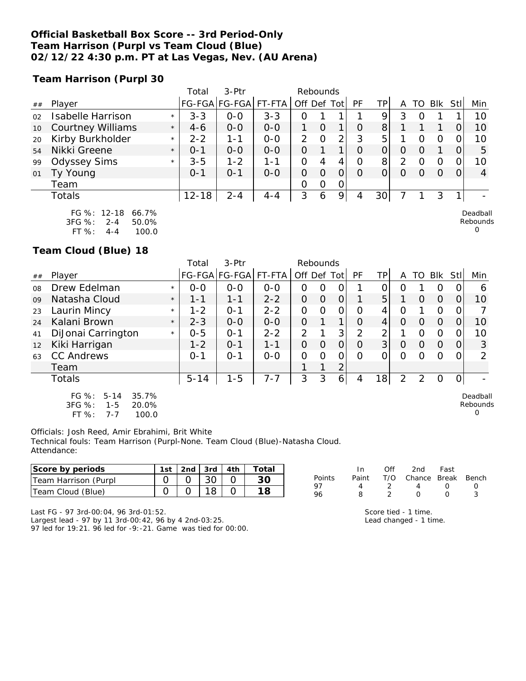### **Official Basketball Box Score -- 3rd Period-Only Team Harrison (Purpl vs Team Cloud (Blue) 02/12/22 4:30 p.m. PT at Las Vegas, Nev. (AU Arena)**

**Team Harrison (Purpl 30**

|                 |                                                                                                                                                                                                                                                                                                                                                                                                                  | Total     | $3-Ptr$ |         |               | Rebounds |              |          |                 |   |     |     |          |     |
|-----------------|------------------------------------------------------------------------------------------------------------------------------------------------------------------------------------------------------------------------------------------------------------------------------------------------------------------------------------------------------------------------------------------------------------------|-----------|---------|---------|---------------|----------|--------------|----------|-----------------|---|-----|-----|----------|-----|
| ##              | Player                                                                                                                                                                                                                                                                                                                                                                                                           | FG-FGA    | FG-FGA  | FT-FTA  | Off Def       |          | . Tot'       | PF       | TPI             | A | TO. | Blk | Stl      | Min |
| 02              | <b>Isabelle Harrison</b><br>$\star$                                                                                                                                                                                                                                                                                                                                                                              | $3 - 3$   | $0 - 0$ | $3 - 3$ |               |          |              |          | 9               |   |     |     |          | 10  |
| 10 <sup>°</sup> | <b>Courtney Williams</b><br>$\star$                                                                                                                                                                                                                                                                                                                                                                              | $4 - 6$   | $0 - 0$ | $0 - 0$ |               |          |              | $\Omega$ | 8 <sup>1</sup>  |   |     |     |          | 10  |
| 20              | Kirby Burkholder<br>$\star$                                                                                                                                                                                                                                                                                                                                                                                      | $2 - 2$   | 1-1     | $0-0$   | $\mathcal{P}$ |          | 2            | 3        | 5               |   |     |     |          | 10  |
| 54              | Nikki Greene<br>$\star$                                                                                                                                                                                                                                                                                                                                                                                          | $O - 1$   | $0 - 0$ | $0 - 0$ | Ω             |          |              | $\Omega$ | Οl              | O |     |     | O        | 5   |
| 99              | <b>Odyssey Sims</b><br>$\star$                                                                                                                                                                                                                                                                                                                                                                                   | $3 - 5$   | $1 - 2$ | 1 - 1   | Ω             | 4        | 4            |          | 8               | 2 |     |     |          | 10  |
| 01              | Ty Young                                                                                                                                                                                                                                                                                                                                                                                                         | $O - 1$   | $O - 1$ | $0 - 0$ | O             |          |              | $\Omega$ |                 | Ω |     |     | $\Omega$ | 4   |
|                 | Team                                                                                                                                                                                                                                                                                                                                                                                                             |           |         |         | 0             | Ω        | $\mathbf{O}$ |          |                 |   |     |     |          |     |
|                 | Totals                                                                                                                                                                                                                                                                                                                                                                                                           | $12 - 18$ | $2 - 4$ | $4 - 4$ | 3             | 6        | 9            | 4        | 30 <sup>1</sup> |   |     |     |          |     |
|                 | $\Gamma$ $\cap$ $\Gamma$<br>$\overline{A}$ $\overline{A}$ $\overline{A}$ $\overline{A}$ $\overline{A}$ $\overline{A}$ $\overline{A}$ $\overline{A}$ $\overline{A}$ $\overline{A}$ $\overline{A}$ $\overline{A}$ $\overline{A}$ $\overline{A}$ $\overline{A}$ $\overline{A}$ $\overline{A}$ $\overline{A}$ $\overline{A}$ $\overline{A}$ $\overline{A}$ $\overline{A}$ $\overline{A}$ $\overline{A}$ $\overline{$ |           |         |         |               |          |              |          |                 |   |     |     |          |     |

|           | FG %: 12-18 66.7% |       |
|-----------|-------------------|-------|
| $3FG \%$  | $2 - 4$           | 50.0% |
| FT $\%$ : | $4 - 4$           | 100.0 |

Deadball Rebounds

 $\Omega$ 

#### **Team Cloud (Blue) 18**

|    |                                                           | Total    | $3-$ Ptr      |         | Rebounds    |          |               |                |                 |          |    |          |          |                           |
|----|-----------------------------------------------------------|----------|---------------|---------|-------------|----------|---------------|----------------|-----------------|----------|----|----------|----------|---------------------------|
| ## | Player                                                    |          | FG-FGA FG-FGA | FT-FTA  | Off Def Tot |          |               | <b>PF</b>      | ΤP              | A        | TO | Blk      | Stl      | Min                       |
| 08 | Drew Edelman<br>$\star$                                   | $0 - 0$  | $O-O$         | $O - O$ | 0           | 0        | O             |                | 0               | Ω        |    | Ω        | O        | 6                         |
| 09 | Natasha Cloud<br>$\star$                                  | $1 - 1$  | 1-1           | $2 - 2$ | 0           | $\Omega$ | $\Omega$      |                | 5               |          | O  | O        | $\Omega$ | 10                        |
| 23 | Laurin Mincy<br>$\star$                                   | $1 - 2$  | $O - 1$       | $2 - 2$ | 0           | 0        | $\mathcal{O}$ | $\Omega$       | 4               | O        |    | $\Omega$ | 0        |                           |
| 24 | Kalani Brown<br>$\star$                                   | $2 - 3$  | $0 - 0$       | $0 - 0$ | 0           |          | 1             | $\Omega$       | 4               | O        | O  | $\Omega$ | $\Omega$ | 10                        |
| 41 | DiJonai Carrington<br>$\star$                             | $0 - 5$  | $O - 1$       | $2 - 2$ | 2           |          | 3             | $\overline{2}$ | 2               |          | 0  | O        | 0        | 10                        |
| 12 | Kiki Harrigan                                             | $1 - 2$  | $O - 1$       | $1 - 1$ | $\Omega$    | $\Omega$ | 0             | $\Omega$       | 3               | $\circ$  | O  | $\Omega$ | $\Omega$ | 3                         |
| 63 | <b>CC Andrews</b>                                         | $O - 1$  | $O - 1$       | $O-O$   | 0           | $\Omega$ | 0             | $\Omega$       |                 | $\Omega$ | O  | $\Omega$ | 0        | 2                         |
|    | Team                                                      |          |               |         |             |          | 2             |                |                 |          |    |          |          |                           |
|    | Totals                                                    | $5 - 14$ | $1 - 5$       | $7 - 7$ | 3           | 3        | 6             | 4              | 18 <sub>1</sub> | 2        | 2  | O        | 0        |                           |
|    | FG %:<br>$5 - 14$<br>35.7%<br>$2500 \mu$<br>20.001<br>1 E |          |               |         |             |          |               |                |                 |          |    |          |          | Deadbal<br><b>Dobound</b> |

3FG %: 1-5 20.0% FT %: 7-7 100.0

all. Rebounds  $\Omega$ 

Officials: Josh Reed, Amir Ebrahimi, Brit White

Technical fouls: Team Harrison (Purpl-None. Team Cloud (Blue)-Natasha Cloud. Attendance:

| Score by periods     | ∣st | 2nd | 3rd | 4th | $\tau$ otal |              |       | Of  | 2nd    | Fast  |       |
|----------------------|-----|-----|-----|-----|-------------|--------------|-------|-----|--------|-------|-------|
| Team Harrison (Purpl |     |     | ΟU  |     |             | Points<br>o٦ | Paint | T/O | Chance | Break | Bench |
| Team Cloud (Blue)    |     |     |     |     |             | 96           |       |     |        |       |       |

Last FG - 97 3rd-00:04, 96 3rd-01:52. Largest lead - 97 by 11 3rd-00:42, 96 by 4 2nd-03:25. 97 led for 19:21. 96 led for -9:-21. Game was tied for 00:00. Score tied - 1 time. Lead changed - 1 time.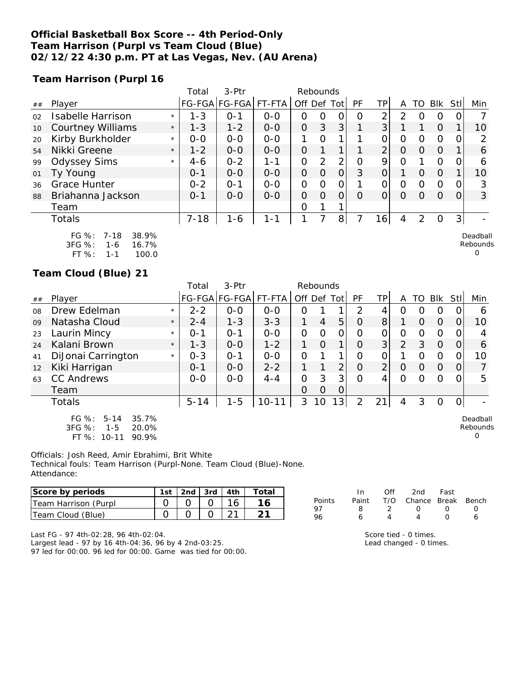### **Official Basketball Box Score -- 4th Period-Only Team Harrison (Purpl vs Team Cloud (Blue) 02/12/22 4:30 p.m. PT at Las Vegas, Nev. (AU Arena)**

**Team Harrison (Purpl 16**

|    |                                                              |         | Total    | $3-Ptr$              |         | Rebounds       |          |                |          |                 |          |          |          |             |                                |
|----|--------------------------------------------------------------|---------|----------|----------------------|---------|----------------|----------|----------------|----------|-----------------|----------|----------|----------|-------------|--------------------------------|
| ## | Player                                                       |         |          | FG-FGA FG-FGA FT-FTA |         | Off Def Tot    |          |                | PF       | ΤP              | A        |          | TO BIK   | <b>Stll</b> | Min                            |
| 02 | <b>Isabelle Harrison</b>                                     | $\star$ | $1 - 3$  | $0 - 1$              | $0 - 0$ | Ο              | 0        | Ο              | $\Omega$ | 2               |          |          | $\Omega$ |             |                                |
| 10 | <b>Courtney Williams</b>                                     | $\star$ | $1 - 3$  | $1 - 2$              | $0 - 0$ | $\mathcal{O}$  | 3        | 3 <sup>1</sup> |          | 3               |          |          | $\Omega$ |             | 10                             |
| 20 | Kirby Burkholder                                             | $\star$ | $0-0$    | $0-0$                | $0 - 0$ |                | Ω        |                |          |                 | 0        | $\Omega$ | $\Omega$ |             | 2                              |
| 54 | Nikki Greene                                                 | $\star$ | $1 - 2$  | $0 - 0$              | $O-O$   | 0              |          |                |          | 2               | $\Omega$ | $\Omega$ | $\Omega$ |             | 6                              |
| 99 | <b>Odyssey Sims</b>                                          | $\star$ | $4-6$    | $0 - 2$              | 1-1     | O              | 2        | 2              | $\Omega$ | 9               | 0        |          | $\Omega$ | $\Omega$    | 6                              |
| 01 | Ty Young                                                     |         | $0 - 1$  | $0-0$                | $0 - 0$ | 0              | $\Omega$ | $\overline{O}$ | 3        | $\overline{O}$  |          | $\Omega$ | $\Omega$ |             | 10                             |
| 36 | <b>Grace Hunter</b>                                          |         | $0 - 2$  | $O - 1$              | $0 - 0$ | $\overline{O}$ | $\Omega$ | 0              |          | O               | 0        | ∩        | $\Omega$ | ∩           | 3                              |
| 88 | Briahanna Jackson                                            |         | $0 - 1$  | $0 - 0$              | $0 - 0$ | 0              | $\Omega$ | $\Omega$       | $\Omega$ |                 | 0        | $\Omega$ | $\Omega$ | $\Omega$    | 3                              |
|    | Team                                                         |         |          |                      |         | O              |          | 1              |          |                 |          |          |          |             |                                |
|    | Totals                                                       |         | $7 - 18$ | $1 - 6$              | 1-1     |                |          | 8 <sup>1</sup> |          | 16 <sub>1</sub> | 4        | 2        | $\Omega$ | 3           |                                |
|    | $FG \%$ :<br>$7 - 18$<br>38.9%<br>$3FG \%$ :<br>16.7%<br>1-6 |         |          |                      |         |                |          |                |          |                 |          |          |          |             | Deadball<br>Rebounds<br>$\sim$ |

FT %: 1-1 100.0

#### **Team Cloud (Blue) 21**

|    |                                                                                        |         | Total    | 3-Ptr                 |           |               | Rebounds       |                |               |                |          |          |          |          |                                  |
|----|----------------------------------------------------------------------------------------|---------|----------|-----------------------|-----------|---------------|----------------|----------------|---------------|----------------|----------|----------|----------|----------|----------------------------------|
| ## | Player                                                                                 |         |          | FG-FGA FG-FGA  FT-FTA |           | Off Def Tot   |                |                | <b>PF</b>     | <b>TP</b>      | A        | TO I     | Blk      | -StII    | Min                              |
| 08 | Drew Edelman                                                                           | $\star$ | $2 - 2$  | $0 - 0$               | $0 - 0$   | O             |                | 1              | $\mathcal{P}$ | 4              | Ω        | O        | O        | O        | 6                                |
| 09 | Natasha Cloud                                                                          | $\star$ | $2 - 4$  | $1 - 3$               | $3 - 3$   | 1             | $\overline{4}$ | 5              | $\Omega$      | 8 <sup>1</sup> |          | 0        | $\Omega$ | O        | 10                               |
| 23 | Laurin Mincy                                                                           | $\star$ | $0 - 1$  | $O - 1$               | $0-0$     | $\mathcal{O}$ | 0              | $\mathcal{O}$  | Ω             | 0              | O        | Ω        | $\Omega$ | 0        |                                  |
| 24 | Kalani Brown                                                                           | $\star$ | $1 - 3$  | $0 - 0$               | $1 - 2$   | 1             | $\Omega$       | 1              | O             | 3 <sup>1</sup> | 2        | 3        | O        | 0        | 6                                |
| 41 | DiJonai Carrington                                                                     | $\star$ | $0 - 3$  | $O - 1$               | $0-0$     | $\Omega$      |                | 1              | 0             | 0              |          | O        | $\circ$  | 0        | 10                               |
| 12 | Kiki Harrigan                                                                          |         | $0 - 1$  | $0 - 0$               | $2 - 2$   | 1             | 1              | $\overline{2}$ | $\Omega$      | $\overline{2}$ | $\Omega$ | $\Omega$ | $\Omega$ | $\Omega$ |                                  |
| 63 | <b>CC Andrews</b>                                                                      |         | $0 - 0$  | $0 - 0$               | $4 - 4$   | $\mathcal{O}$ | 3              | 3              | Ω             | 4              | O        | Ω        | $\Omega$ | O        | 5                                |
|    | Team                                                                                   |         |          |                       |           | $\Omega$      | $\circ$        | 0              |               |                |          |          |          |          |                                  |
|    | <b>Totals</b>                                                                          |         | $5 - 14$ | $1 - 5$               | $10 - 11$ | 3             | 10             | 3              | 2             | 21             | 4        | 3        | $\Omega$ | ΟI       |                                  |
|    | $FG \%$ :<br>$5 - 14$<br>35.7%<br>3FG %:<br>20.0%<br>$1 - 5$<br>FT %: $10-11$<br>90.9% |         |          |                       |           |               |                |                |               |                |          |          |          |          | Deadball<br>Rebounds<br>$\Omega$ |

Officials: Josh Reed, Amir Ebrahimi, Brit White Technical fouls: Team Harrison (Purpl-None. Team Cloud (Blue)-None. Attendance:

| Score by periods     | 1st | $2nd$ 3rd 1 4th | Totai |
|----------------------|-----|-----------------|-------|
| Team Harrison (Purpl |     |                 |       |
| Team Cloud (Blue)    |     |                 |       |

|        | In. | ∩ff           | 2nd Fast                     |                  |                  |
|--------|-----|---------------|------------------------------|------------------|------------------|
| Points |     |               | Paint T/O Chance Break Bench |                  |                  |
| 97     | x   | $\mathcal{P}$ | (1)                          | $\left( \right)$ | $\left( \right)$ |
| 96     | 6   |               | 4                            | $\cap$           | Һ                |

0

Last FG - 97 4th-02:28, 96 4th-02:04.

Largest lead - 97 by 16 4th-04:36, 96 by 4 2nd-03:25. 97 led for 00:00. 96 led for 00:00. Game was tied for 00:00.

| Score tied - 0 times.   |
|-------------------------|
| Lead changed - 0 times. |